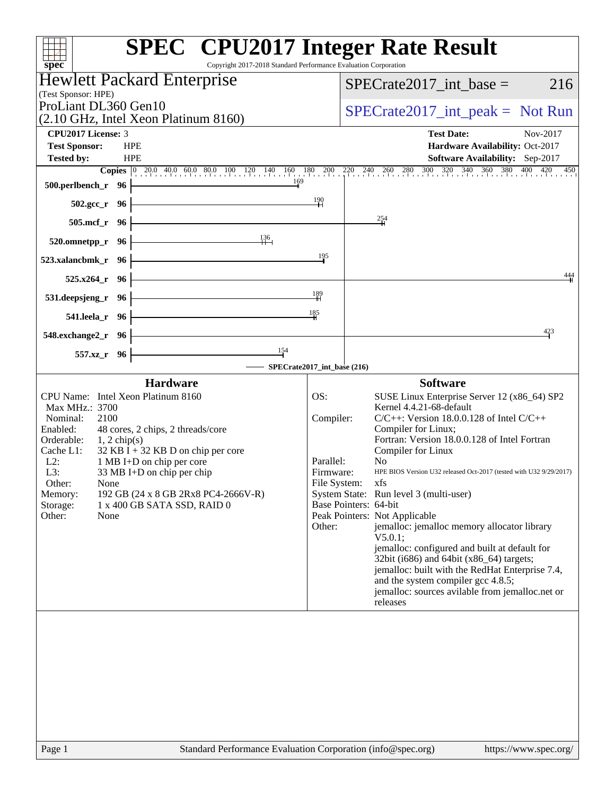| <b>SPEC<sup>®</sup></b> CPU2017 Integer Rate Result<br>Copyright 2017-2018 Standard Performance Evaluation Corporation<br>$spec^*$                                                                                                                                                                                                                                                                                                             |                                                                                                                                                                                                                                                                                                                                                                                                     |                                                                                                                                                                                                                                                                                                                                                                                                                           |
|------------------------------------------------------------------------------------------------------------------------------------------------------------------------------------------------------------------------------------------------------------------------------------------------------------------------------------------------------------------------------------------------------------------------------------------------|-----------------------------------------------------------------------------------------------------------------------------------------------------------------------------------------------------------------------------------------------------------------------------------------------------------------------------------------------------------------------------------------------------|---------------------------------------------------------------------------------------------------------------------------------------------------------------------------------------------------------------------------------------------------------------------------------------------------------------------------------------------------------------------------------------------------------------------------|
| <b>Hewlett Packard Enterprise</b>                                                                                                                                                                                                                                                                                                                                                                                                              |                                                                                                                                                                                                                                                                                                                                                                                                     |                                                                                                                                                                                                                                                                                                                                                                                                                           |
| (Test Sponsor: HPE)                                                                                                                                                                                                                                                                                                                                                                                                                            | $SPECrate2017\_int\_base =$                                                                                                                                                                                                                                                                                                                                                                         | 216                                                                                                                                                                                                                                                                                                                                                                                                                       |
| ProLiant DL360 Gen10                                                                                                                                                                                                                                                                                                                                                                                                                           |                                                                                                                                                                                                                                                                                                                                                                                                     | $SPECrate2017\_int\_peak = Not Run$                                                                                                                                                                                                                                                                                                                                                                                       |
| (2.10 GHz, Intel Xeon Platinum 8160)                                                                                                                                                                                                                                                                                                                                                                                                           |                                                                                                                                                                                                                                                                                                                                                                                                     |                                                                                                                                                                                                                                                                                                                                                                                                                           |
| <b>CPU2017 License: 3</b>                                                                                                                                                                                                                                                                                                                                                                                                                      | <b>Test Date:</b>                                                                                                                                                                                                                                                                                                                                                                                   | Nov-2017                                                                                                                                                                                                                                                                                                                                                                                                                  |
| <b>Test Sponsor:</b><br><b>HPE</b><br><b>HPE</b><br><b>Tested by:</b>                                                                                                                                                                                                                                                                                                                                                                          |                                                                                                                                                                                                                                                                                                                                                                                                     | Hardware Availability: Oct-2017<br>Software Availability: Sep-2017                                                                                                                                                                                                                                                                                                                                                        |
| <b>Copies</b> 0 20.0 40.0 60.0 80.0 100 120 140 160 180 200                                                                                                                                                                                                                                                                                                                                                                                    | $\frac{220}{1}$ 240 260 280 300 320 340 360 380 400                                                                                                                                                                                                                                                                                                                                                 | 420<br>450                                                                                                                                                                                                                                                                                                                                                                                                                |
| 169<br>500.perlbench_r 96                                                                                                                                                                                                                                                                                                                                                                                                                      |                                                                                                                                                                                                                                                                                                                                                                                                     |                                                                                                                                                                                                                                                                                                                                                                                                                           |
| 502.gcc_r 96                                                                                                                                                                                                                                                                                                                                                                                                                                   | 190                                                                                                                                                                                                                                                                                                                                                                                                 |                                                                                                                                                                                                                                                                                                                                                                                                                           |
| $505$ .mcf_r<br>- 96                                                                                                                                                                                                                                                                                                                                                                                                                           | 254                                                                                                                                                                                                                                                                                                                                                                                                 |                                                                                                                                                                                                                                                                                                                                                                                                                           |
| 136<br>520.omnetpp_r<br>-96                                                                                                                                                                                                                                                                                                                                                                                                                    |                                                                                                                                                                                                                                                                                                                                                                                                     |                                                                                                                                                                                                                                                                                                                                                                                                                           |
| 523.xalancbmk_r<br>- 96                                                                                                                                                                                                                                                                                                                                                                                                                        | 195                                                                                                                                                                                                                                                                                                                                                                                                 |                                                                                                                                                                                                                                                                                                                                                                                                                           |
| $525.x264$ _r<br>- 96                                                                                                                                                                                                                                                                                                                                                                                                                          |                                                                                                                                                                                                                                                                                                                                                                                                     | 444                                                                                                                                                                                                                                                                                                                                                                                                                       |
| 531.deepsjeng_r 96                                                                                                                                                                                                                                                                                                                                                                                                                             | $\frac{189}{1}$                                                                                                                                                                                                                                                                                                                                                                                     |                                                                                                                                                                                                                                                                                                                                                                                                                           |
| 541.leela_r 96                                                                                                                                                                                                                                                                                                                                                                                                                                 | 185                                                                                                                                                                                                                                                                                                                                                                                                 |                                                                                                                                                                                                                                                                                                                                                                                                                           |
| 548.exchange2_r 96                                                                                                                                                                                                                                                                                                                                                                                                                             |                                                                                                                                                                                                                                                                                                                                                                                                     | 423                                                                                                                                                                                                                                                                                                                                                                                                                       |
| 154<br>557.xz_r 96                                                                                                                                                                                                                                                                                                                                                                                                                             |                                                                                                                                                                                                                                                                                                                                                                                                     |                                                                                                                                                                                                                                                                                                                                                                                                                           |
|                                                                                                                                                                                                                                                                                                                                                                                                                                                | SPECrate2017_int_base (216)                                                                                                                                                                                                                                                                                                                                                                         |                                                                                                                                                                                                                                                                                                                                                                                                                           |
| <b>Hardware</b><br>CPU Name: Intel Xeon Platinum 8160<br>Max MHz.: 3700<br>Nominal:<br>2100<br>Enabled:<br>48 cores, 2 chips, 2 threads/core<br>Orderable:<br>$1, 2$ chip(s)<br>Cache L1:<br>$32$ KB I + 32 KB D on chip per core<br>$L2$ :<br>1 MB I+D on chip per core<br>L3:<br>33 MB I+D on chip per chip<br>Other:<br>None<br>192 GB (24 x 8 GB 2Rx8 PC4-2666V-R)<br>Memory:<br>Storage:<br>1 x 400 GB SATA SSD, RAID 0<br>Other:<br>None | <b>Software</b><br>OS:<br>Kernel 4.4.21-68-default<br>Compiler:<br>Compiler for Linux;<br>Compiler for Linux<br>Parallel:<br>N <sub>0</sub><br>Firmware:<br>File System: xfs<br>System State: Run level 3 (multi-user)<br>Base Pointers: 64-bit<br>Peak Pointers: Not Applicable<br>Other:<br>V5.0.1;<br>32bit (i686) and 64bit (x86_64) targets;<br>and the system compiler gcc 4.8.5;<br>releases | SUSE Linux Enterprise Server 12 (x86_64) SP2<br>$C/C++$ : Version 18.0.0.128 of Intel $C/C++$<br>Fortran: Version 18.0.0.128 of Intel Fortran<br>HPE BIOS Version U32 released Oct-2017 (tested with U32 9/29/2017)<br>jemalloc: jemalloc memory allocator library<br>jemalloc: configured and built at default for<br>jemalloc: built with the RedHat Enterprise 7.4,<br>jemalloc: sources avilable from jemalloc.net or |
|                                                                                                                                                                                                                                                                                                                                                                                                                                                |                                                                                                                                                                                                                                                                                                                                                                                                     |                                                                                                                                                                                                                                                                                                                                                                                                                           |
|                                                                                                                                                                                                                                                                                                                                                                                                                                                |                                                                                                                                                                                                                                                                                                                                                                                                     |                                                                                                                                                                                                                                                                                                                                                                                                                           |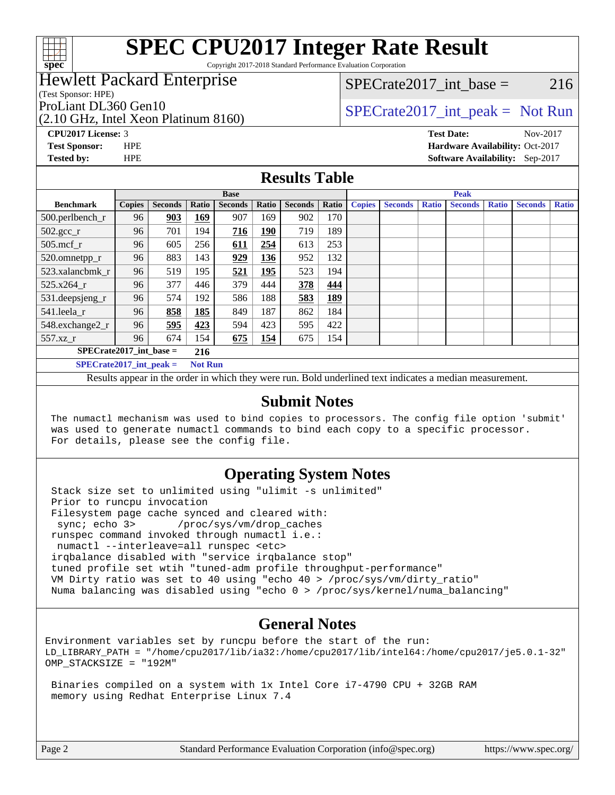

Copyright 2017-2018 Standard Performance Evaluation Corporation

### Hewlett Packard Enterprise

(Test Sponsor: HPE)

(2.10 GHz, Intel Xeon Platinum 8160)

 $SPECTate2017\_int\_base = 216$ 

### ProLiant DL360 Gen10  $SPECTA = 160$   $SPECTA = 10$   $SPECTA = 10$   $SPECTA = 10$   $SPECTA = 10$

**[CPU2017 License:](http://www.spec.org/auto/cpu2017/Docs/result-fields.html#CPU2017License)** 3 **[Test Date:](http://www.spec.org/auto/cpu2017/Docs/result-fields.html#TestDate)** Nov-2017 **[Test Sponsor:](http://www.spec.org/auto/cpu2017/Docs/result-fields.html#TestSponsor)** HPE **[Hardware Availability:](http://www.spec.org/auto/cpu2017/Docs/result-fields.html#HardwareAvailability)** Oct-2017 **[Tested by:](http://www.spec.org/auto/cpu2017/Docs/result-fields.html#Testedby)** HPE **[Software Availability:](http://www.spec.org/auto/cpu2017/Docs/result-fields.html#SoftwareAvailability)** Sep-2017

#### **[Results Table](http://www.spec.org/auto/cpu2017/Docs/result-fields.html#ResultsTable)**

|                                             | <b>Base</b>   |                |       |                |            | <b>Peak</b>    |            |               |                |              |                |              |                |              |
|---------------------------------------------|---------------|----------------|-------|----------------|------------|----------------|------------|---------------|----------------|--------------|----------------|--------------|----------------|--------------|
| <b>Benchmark</b>                            | <b>Copies</b> | <b>Seconds</b> | Ratio | <b>Seconds</b> | Ratio      | <b>Seconds</b> | Ratio      | <b>Copies</b> | <b>Seconds</b> | <b>Ratio</b> | <b>Seconds</b> | <b>Ratio</b> | <b>Seconds</b> | <b>Ratio</b> |
| 500.perlbench_r                             | 96            | 903            | 169   | 907            | 169        | 902            | 170        |               |                |              |                |              |                |              |
| $502.\text{gcc}$ _r                         | 96            | 701            | 194   | 716            | 190        | 719            | 189        |               |                |              |                |              |                |              |
| $505$ .mcf r                                | 96            | 605            | 256   | 611            | 254        | 613            | 253        |               |                |              |                |              |                |              |
| 520.omnetpp_r                               | 96            | 883            | 143   | 929            | 136        | 952            | 132        |               |                |              |                |              |                |              |
| 523.xalancbmk r                             | 96            | 519            | 195   | 521            | <u>195</u> | 523            | 194        |               |                |              |                |              |                |              |
| 525.x264 r                                  | 96            | 377            | 446   | 379            | 444        | 378            | 444        |               |                |              |                |              |                |              |
| $531.$ deepsjeng $_r$                       | 96            | 574            | 192   | 586            | 188        | 583            | <u>189</u> |               |                |              |                |              |                |              |
| 541.leela_r                                 | 96            | 858            | 185   | 849            | 187        | 862            | 184        |               |                |              |                |              |                |              |
| 548.exchange2_r                             | 96            | 595            | 423   | 594            | 423        | 595            | 422        |               |                |              |                |              |                |              |
| $557.xz$ _r                                 | 96            | 674            | 154   | 675            | 154        | 675            | 154        |               |                |              |                |              |                |              |
| $SPECrate2017\_int\_base =$<br>216          |               |                |       |                |            |                |            |               |                |              |                |              |                |              |
| <b>Not Run</b><br>$SPECrate2017$ int peak = |               |                |       |                |            |                |            |               |                |              |                |              |                |              |

Results appear in the [order in which they were run](http://www.spec.org/auto/cpu2017/Docs/result-fields.html#RunOrder). Bold underlined text [indicates a median measurement](http://www.spec.org/auto/cpu2017/Docs/result-fields.html#Median).

#### **[Submit Notes](http://www.spec.org/auto/cpu2017/Docs/result-fields.html#SubmitNotes)**

 The numactl mechanism was used to bind copies to processors. The config file option 'submit' was used to generate numactl commands to bind each copy to a specific processor. For details, please see the config file.

#### **[Operating System Notes](http://www.spec.org/auto/cpu2017/Docs/result-fields.html#OperatingSystemNotes)**

 Stack size set to unlimited using "ulimit -s unlimited" Prior to runcpu invocation Filesystem page cache synced and cleared with: sync; echo 3> /proc/sys/vm/drop\_caches runspec command invoked through numactl i.e.: numactl --interleave=all runspec <etc> irqbalance disabled with "service irqbalance stop" tuned profile set wtih "tuned-adm profile throughput-performance" VM Dirty ratio was set to 40 using "echo 40 > /proc/sys/vm/dirty\_ratio" Numa balancing was disabled using "echo 0 > /proc/sys/kernel/numa\_balancing"

#### **[General Notes](http://www.spec.org/auto/cpu2017/Docs/result-fields.html#GeneralNotes)**

Environment variables set by runcpu before the start of the run: LD\_LIBRARY\_PATH = "/home/cpu2017/lib/ia32:/home/cpu2017/lib/intel64:/home/cpu2017/je5.0.1-32" OMP\_STACKSIZE = "192M"

 Binaries compiled on a system with 1x Intel Core i7-4790 CPU + 32GB RAM memory using Redhat Enterprise Linux 7.4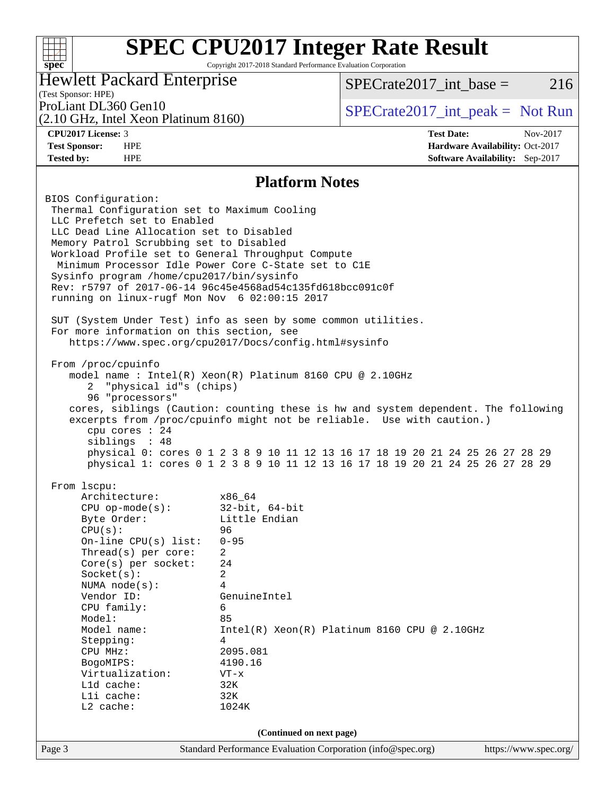#### **[SPEC CPU2017 Integer Rate Result](http://www.spec.org/auto/cpu2017/Docs/result-fields.html#SPECCPU2017IntegerRateResult)**  $+\!\!+\!\!$ **[spec](http://www.spec.org/)** Copyright 2017-2018 Standard Performance Evaluation Corporation Hewlett Packard Enterprise  $SPECTate2017\_int\_base = 216$ (Test Sponsor: HPE) ProLiant DL360 Gen10  $SPECTA = 160$   $SPECTA = 10$   $SPECTA = 10$   $SPECTA = 10$   $SPECTA = 10$ (2.10 GHz, Intel Xeon Platinum 8160) **[CPU2017 License:](http://www.spec.org/auto/cpu2017/Docs/result-fields.html#CPU2017License)** 3 **[Test Date:](http://www.spec.org/auto/cpu2017/Docs/result-fields.html#TestDate)** Nov-2017 **[Test Sponsor:](http://www.spec.org/auto/cpu2017/Docs/result-fields.html#TestSponsor)** HPE **[Hardware Availability:](http://www.spec.org/auto/cpu2017/Docs/result-fields.html#HardwareAvailability)** Oct-2017 **[Tested by:](http://www.spec.org/auto/cpu2017/Docs/result-fields.html#Testedby)** HPE **[Software Availability:](http://www.spec.org/auto/cpu2017/Docs/result-fields.html#SoftwareAvailability)** Sep-2017 **[Platform Notes](http://www.spec.org/auto/cpu2017/Docs/result-fields.html#PlatformNotes)** BIOS Configuration: Thermal Configuration set to Maximum Cooling LLC Prefetch set to Enabled LLC Dead Line Allocation set to Disabled Memory Patrol Scrubbing set to Disabled Workload Profile set to General Throughput Compute Minimum Processor Idle Power Core C-State set to C1E Sysinfo program /home/cpu2017/bin/sysinfo Rev: r5797 of 2017-06-14 96c45e4568ad54c135fd618bcc091c0f running on linux-rugf Mon Nov 6 02:00:15 2017 SUT (System Under Test) info as seen by some common utilities. For more information on this section, see <https://www.spec.org/cpu2017/Docs/config.html#sysinfo> From /proc/cpuinfo model name : Intel(R) Xeon(R) Platinum 8160 CPU @ 2.10GHz 2 "physical id"s (chips) 96 "processors" cores, siblings (Caution: counting these is hw and system dependent. The following excerpts from /proc/cpuinfo might not be reliable. Use with caution.) cpu cores : 24 siblings : 48 physical 0: cores 0 1 2 3 8 9 10 11 12 13 16 17 18 19 20 21 24 25 26 27 28 29 physical 1: cores 0 1 2 3 8 9 10 11 12 13 16 17 18 19 20 21 24 25 26 27 28 29 From lscpu: Architecture: x86\_64 CPU op-mode(s): 32-bit, 64-bit Byte Order: Little Endian CPU(s): 96 On-line CPU(s) list: 0-95 Thread(s) per core: 2 Core(s) per socket: 24 Socket(s): 2 NUMA node(s): 4 Vendor ID: GenuineIntel CPU family: 6 Model: 85 Model name: Intel(R) Xeon(R) Platinum 8160 CPU @ 2.10GHz Stepping: 4 CPU MHz: 2095.081 BogoMIPS: 4190.16 Virtualization: VT-x L1d cache: 32K L1i cache: 32K L2 cache: 1024K **(Continued on next page)**Page 3 Standard Performance Evaluation Corporation [\(info@spec.org\)](mailto:info@spec.org) <https://www.spec.org/>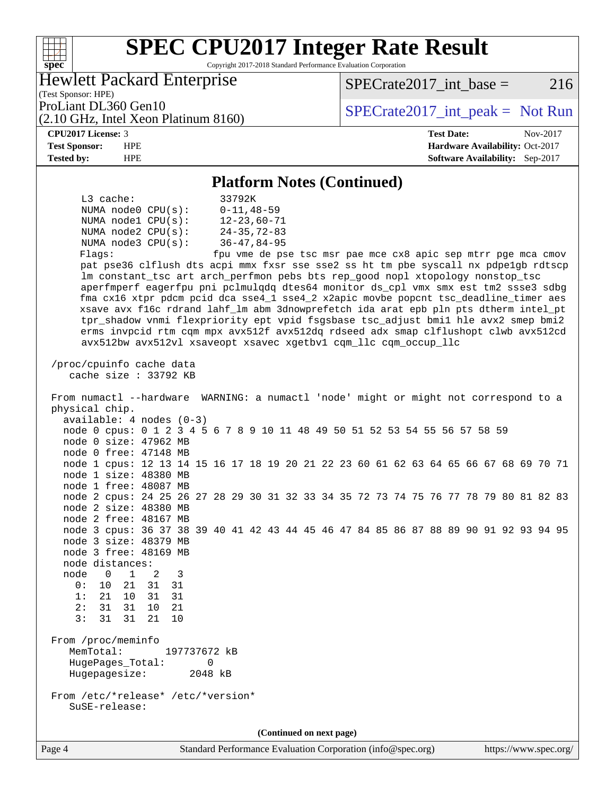#### **[SPEC CPU2017 Integer Rate Result](http://www.spec.org/auto/cpu2017/Docs/result-fields.html#SPECCPU2017IntegerRateResult)**  $\begin{matrix} & \ + \ + \end{matrix}$ **[spec](http://www.spec.org/)** Copyright 2017-2018 Standard Performance Evaluation Corporation Hewlett Packard Enterprise  $SPECTate2017\_int\_base = 216$ (Test Sponsor: HPE) ProLiant DL360 Gen10<br>  $SPECTA = 10$  SPECrate 2017 int peak = Not Run (2.10 GHz, Intel Xeon Platinum 8160) **[CPU2017 License:](http://www.spec.org/auto/cpu2017/Docs/result-fields.html#CPU2017License)** 3 **[Test Date:](http://www.spec.org/auto/cpu2017/Docs/result-fields.html#TestDate)** Nov-2017 **[Test Sponsor:](http://www.spec.org/auto/cpu2017/Docs/result-fields.html#TestSponsor)** HPE **[Hardware Availability:](http://www.spec.org/auto/cpu2017/Docs/result-fields.html#HardwareAvailability)** Oct-2017 **[Tested by:](http://www.spec.org/auto/cpu2017/Docs/result-fields.html#Testedby)** HPE **[Software Availability:](http://www.spec.org/auto/cpu2017/Docs/result-fields.html#SoftwareAvailability)** Sep-2017 **[Platform Notes \(Continued\)](http://www.spec.org/auto/cpu2017/Docs/result-fields.html#PlatformNotes)** L3 cache: 33792K NUMA node0 CPU(s): 0-11,48-59 NUMA node1 CPU(s): 12-23,60-71 NUMA node2 CPU(s): 24-35,72-83 NUMA node3 CPU(s): 36-47,84-95 Flags: fpu vme de pse tsc msr pae mce cx8 apic sep mtrr pge mca cmov pat pse36 clflush dts acpi mmx fxsr sse sse2 ss ht tm pbe syscall nx pdpe1gb rdtscp lm constant\_tsc art arch\_perfmon pebs bts rep\_good nopl xtopology nonstop\_tsc aperfmperf eagerfpu pni pclmulqdq dtes64 monitor ds\_cpl vmx smx est tm2 ssse3 sdbg fma cx16 xtpr pdcm pcid dca sse4\_1 sse4\_2 x2apic movbe popcnt tsc\_deadline\_timer aes xsave avx f16c rdrand lahf\_lm abm 3dnowprefetch ida arat epb pln pts dtherm intel\_pt tpr\_shadow vnmi flexpriority ept vpid fsgsbase tsc\_adjust bmi1 hle avx2 smep bmi2 erms invpcid rtm cqm mpx avx512f avx512dq rdseed adx smap clflushopt clwb avx512cd avx512bw avx512vl xsaveopt xsavec xgetbv1 cqm\_llc cqm\_occup\_llc /proc/cpuinfo cache data cache size : 33792 KB From numactl --hardware WARNING: a numactl 'node' might or might not correspond to a physical chip. available: 4 nodes (0-3) node 0 cpus: 0 1 2 3 4 5 6 7 8 9 10 11 48 49 50 51 52 53 54 55 56 57 58 59 node 0 size: 47962 MB node 0 free: 47148 MB node 1 cpus: 12 13 14 15 16 17 18 19 20 21 22 23 60 61 62 63 64 65 66 67 68 69 70 71 node 1 size: 48380 MB node 1 free: 48087 MB node 2 cpus: 24 25 26 27 28 29 30 31 32 33 34 35 72 73 74 75 76 77 78 79 80 81 82 83 node 2 size: 48380 MB node 2 free: 48167 MB node 3 cpus: 36 37 38 39 40 41 42 43 44 45 46 47 84 85 86 87 88 89 90 91 92 93 94 95 node 3 size: 48379 MB node 3 free: 48169 MB node distances: node 0 1 2 3 0: 10 21 31 31 1: 21 10 31 31 2: 31 31 10 21 3: 31 31 21 10 From /proc/meminfo MemTotal: 197737672 kB HugePages\_Total: 0 Hugepagesize: 2048 kB From /etc/\*release\* /etc/\*version\* SuSE-release: **(Continued on next page)**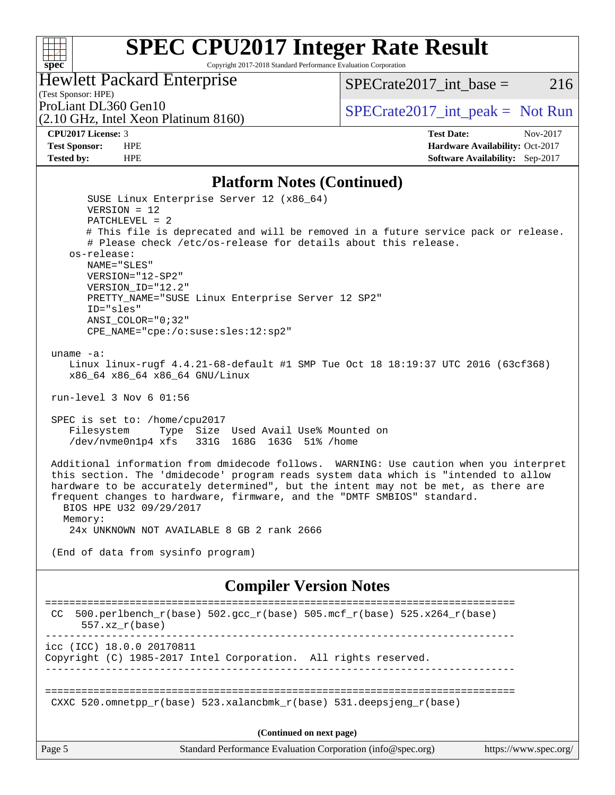

Copyright 2017-2018 Standard Performance Evaluation Corporation

#### Hewlett Packard Enterprise

(2.10 GHz, Intel Xeon Platinum 8160)

SPECrate  $2017$  int base = 216

(Test Sponsor: HPE)

ProLiant DL360 Gen10  $SPECTA = 160$   $SPECTA = 10$   $SPECTA = 10$   $SPECTA = 10$   $SPECTA = 10$ 

**[CPU2017 License:](http://www.spec.org/auto/cpu2017/Docs/result-fields.html#CPU2017License)** 3 **[Test Date:](http://www.spec.org/auto/cpu2017/Docs/result-fields.html#TestDate)** Nov-2017 **[Test Sponsor:](http://www.spec.org/auto/cpu2017/Docs/result-fields.html#TestSponsor)** HPE **[Hardware Availability:](http://www.spec.org/auto/cpu2017/Docs/result-fields.html#HardwareAvailability)** Oct-2017 **[Tested by:](http://www.spec.org/auto/cpu2017/Docs/result-fields.html#Testedby)** HPE **[Software Availability:](http://www.spec.org/auto/cpu2017/Docs/result-fields.html#SoftwareAvailability)** Sep-2017

#### **[Platform Notes \(Continued\)](http://www.spec.org/auto/cpu2017/Docs/result-fields.html#PlatformNotes)**

Page 5 Standard Performance Evaluation Corporation [\(info@spec.org\)](mailto:info@spec.org) <https://www.spec.org/> SUSE Linux Enterprise Server 12 (x86\_64) VERSION = 12 PATCHLEVEL = 2 # This file is deprecated and will be removed in a future service pack or release. # Please check /etc/os-release for details about this release. os-release: NAME="SLES" VERSION="12-SP2" VERSION\_ID="12.2" PRETTY\_NAME="SUSE Linux Enterprise Server 12 SP2" ID="sles" ANSI\_COLOR="0;32" CPE\_NAME="cpe:/o:suse:sles:12:sp2" uname -a: Linux linux-rugf 4.4.21-68-default #1 SMP Tue Oct 18 18:19:37 UTC 2016 (63cf368) x86\_64 x86\_64 x86\_64 GNU/Linux run-level 3 Nov 6 01:56 SPEC is set to: /home/cpu2017 Filesystem Type Size Used Avail Use% Mounted on /dev/nvme0n1p4 xfs 331G 168G 163G 51% /home Additional information from dmidecode follows. WARNING: Use caution when you interpret this section. The 'dmidecode' program reads system data which is "intended to allow hardware to be accurately determined", but the intent may not be met, as there are frequent changes to hardware, firmware, and the "DMTF SMBIOS" standard. BIOS HPE U32 09/29/2017 Memory: 24x UNKNOWN NOT AVAILABLE 8 GB 2 rank 2666 (End of data from sysinfo program) **[Compiler Version Notes](http://www.spec.org/auto/cpu2017/Docs/result-fields.html#CompilerVersionNotes)** ============================================================================== CC 500.perlbench\_r(base)  $502.\text{gcc}_r(\text{base})$  505.mcf\_r(base)  $525.x264_r(\text{base})$  557.xz\_r(base) ----------------------------------------------------------------------------- icc (ICC) 18.0.0 20170811 Copyright (C) 1985-2017 Intel Corporation. All rights reserved. ------------------------------------------------------------------------------ ============================================================================== CXXC 520.omnetpp  $r(base)$  523.xalancbmk  $r(base)$  531.deepsjeng  $r(base)$ **(Continued on next page)**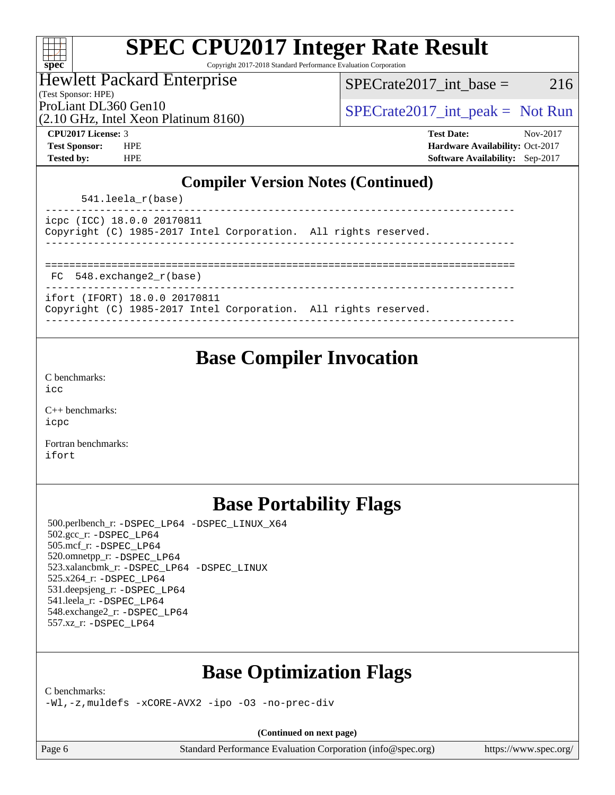| S,<br>E<br>Π<br>N |  |  |  |  |
|-------------------|--|--|--|--|

Copyright 2017-2018 Standard Performance Evaluation Corporation

Hewlett Packard Enterprise

(Test Sponsor: HPE)

 $SPECTate2017\_int\_base = 216$ 

(2.10 GHz, Intel Xeon Platinum 8160)

ProLiant DL360 Gen10  $SPECTA = 160$   $SPECTA = 2017$  int peak = Not Run

**[CPU2017 License:](http://www.spec.org/auto/cpu2017/Docs/result-fields.html#CPU2017License)** 3 **[Test Date:](http://www.spec.org/auto/cpu2017/Docs/result-fields.html#TestDate)** Nov-2017 **[Test Sponsor:](http://www.spec.org/auto/cpu2017/Docs/result-fields.html#TestSponsor)** HPE **[Hardware Availability:](http://www.spec.org/auto/cpu2017/Docs/result-fields.html#HardwareAvailability)** Oct-2017 **[Tested by:](http://www.spec.org/auto/cpu2017/Docs/result-fields.html#Testedby)** HPE **[Software Availability:](http://www.spec.org/auto/cpu2017/Docs/result-fields.html#SoftwareAvailability)** Sep-2017

### **[Compiler Version Notes \(Continued\)](http://www.spec.org/auto/cpu2017/Docs/result-fields.html#CompilerVersionNotes)**

541.leela\_r(base)

|  | icpc (ICC) 18.0.0 20170811 |                                                                 |  |  |
|--|----------------------------|-----------------------------------------------------------------|--|--|
|  |                            | Copyright (C) 1985-2017 Intel Corporation. All rights reserved. |  |  |
|  |                            |                                                                 |  |  |

============================================================================== FC 548.exchange2  $r(base)$ 

ifort (IFORT) 18.0.0 20170811

Copyright (C) 1985-2017 Intel Corporation. All rights reserved. ------------------------------------------------------------------------------

### **[Base Compiler Invocation](http://www.spec.org/auto/cpu2017/Docs/result-fields.html#BaseCompilerInvocation)**

[C benchmarks](http://www.spec.org/auto/cpu2017/Docs/result-fields.html#Cbenchmarks): [icc](http://www.spec.org/cpu2017/results/res2017q4/cpu2017-20171114-00843.flags.html#user_CCbase_intel_icc_18.0_66fc1ee009f7361af1fbd72ca7dcefbb700085f36577c54f309893dd4ec40d12360134090235512931783d35fd58c0460139e722d5067c5574d8eaf2b3e37e92)

[C++ benchmarks:](http://www.spec.org/auto/cpu2017/Docs/result-fields.html#CXXbenchmarks) [icpc](http://www.spec.org/cpu2017/results/res2017q4/cpu2017-20171114-00843.flags.html#user_CXXbase_intel_icpc_18.0_c510b6838c7f56d33e37e94d029a35b4a7bccf4766a728ee175e80a419847e808290a9b78be685c44ab727ea267ec2f070ec5dc83b407c0218cded6866a35d07)

[Fortran benchmarks](http://www.spec.org/auto/cpu2017/Docs/result-fields.html#Fortranbenchmarks): [ifort](http://www.spec.org/cpu2017/results/res2017q4/cpu2017-20171114-00843.flags.html#user_FCbase_intel_ifort_18.0_8111460550e3ca792625aed983ce982f94888b8b503583aa7ba2b8303487b4d8a21a13e7191a45c5fd58ff318f48f9492884d4413fa793fd88dd292cad7027ca)

### **[Base Portability Flags](http://www.spec.org/auto/cpu2017/Docs/result-fields.html#BasePortabilityFlags)**

 500.perlbench\_r: [-DSPEC\\_LP64](http://www.spec.org/cpu2017/results/res2017q4/cpu2017-20171114-00843.flags.html#b500.perlbench_r_basePORTABILITY_DSPEC_LP64) [-DSPEC\\_LINUX\\_X64](http://www.spec.org/cpu2017/results/res2017q4/cpu2017-20171114-00843.flags.html#b500.perlbench_r_baseCPORTABILITY_DSPEC_LINUX_X64) 502.gcc\_r: [-DSPEC\\_LP64](http://www.spec.org/cpu2017/results/res2017q4/cpu2017-20171114-00843.flags.html#suite_basePORTABILITY502_gcc_r_DSPEC_LP64) 505.mcf\_r: [-DSPEC\\_LP64](http://www.spec.org/cpu2017/results/res2017q4/cpu2017-20171114-00843.flags.html#suite_basePORTABILITY505_mcf_r_DSPEC_LP64) 520.omnetpp\_r: [-DSPEC\\_LP64](http://www.spec.org/cpu2017/results/res2017q4/cpu2017-20171114-00843.flags.html#suite_basePORTABILITY520_omnetpp_r_DSPEC_LP64) 523.xalancbmk\_r: [-DSPEC\\_LP64](http://www.spec.org/cpu2017/results/res2017q4/cpu2017-20171114-00843.flags.html#suite_basePORTABILITY523_xalancbmk_r_DSPEC_LP64) [-DSPEC\\_LINUX](http://www.spec.org/cpu2017/results/res2017q4/cpu2017-20171114-00843.flags.html#b523.xalancbmk_r_baseCXXPORTABILITY_DSPEC_LINUX) 525.x264\_r: [-DSPEC\\_LP64](http://www.spec.org/cpu2017/results/res2017q4/cpu2017-20171114-00843.flags.html#suite_basePORTABILITY525_x264_r_DSPEC_LP64) 531.deepsjeng\_r: [-DSPEC\\_LP64](http://www.spec.org/cpu2017/results/res2017q4/cpu2017-20171114-00843.flags.html#suite_basePORTABILITY531_deepsjeng_r_DSPEC_LP64) 541.leela\_r: [-DSPEC\\_LP64](http://www.spec.org/cpu2017/results/res2017q4/cpu2017-20171114-00843.flags.html#suite_basePORTABILITY541_leela_r_DSPEC_LP64) 548.exchange2\_r: [-DSPEC\\_LP64](http://www.spec.org/cpu2017/results/res2017q4/cpu2017-20171114-00843.flags.html#suite_basePORTABILITY548_exchange2_r_DSPEC_LP64) 557.xz\_r: [-DSPEC\\_LP64](http://www.spec.org/cpu2017/results/res2017q4/cpu2017-20171114-00843.flags.html#suite_basePORTABILITY557_xz_r_DSPEC_LP64)

### **[Base Optimization Flags](http://www.spec.org/auto/cpu2017/Docs/result-fields.html#BaseOptimizationFlags)**

[C benchmarks](http://www.spec.org/auto/cpu2017/Docs/result-fields.html#Cbenchmarks):

[-Wl,-z,muldefs](http://www.spec.org/cpu2017/results/res2017q4/cpu2017-20171114-00843.flags.html#user_CCbase_link_force_multiple1_b4cbdb97b34bdee9ceefcfe54f4c8ea74255f0b02a4b23e853cdb0e18eb4525ac79b5a88067c842dd0ee6996c24547a27a4b99331201badda8798ef8a743f577) [-xCORE-AVX2](http://www.spec.org/cpu2017/results/res2017q4/cpu2017-20171114-00843.flags.html#user_CCbase_f-xCORE-AVX2) [-ipo](http://www.spec.org/cpu2017/results/res2017q4/cpu2017-20171114-00843.flags.html#user_CCbase_f-ipo) [-O3](http://www.spec.org/cpu2017/results/res2017q4/cpu2017-20171114-00843.flags.html#user_CCbase_f-O3) [-no-prec-div](http://www.spec.org/cpu2017/results/res2017q4/cpu2017-20171114-00843.flags.html#user_CCbase_f-no-prec-div)

**(Continued on next page)**

Page 6 Standard Performance Evaluation Corporation [\(info@spec.org\)](mailto:info@spec.org) <https://www.spec.org/>